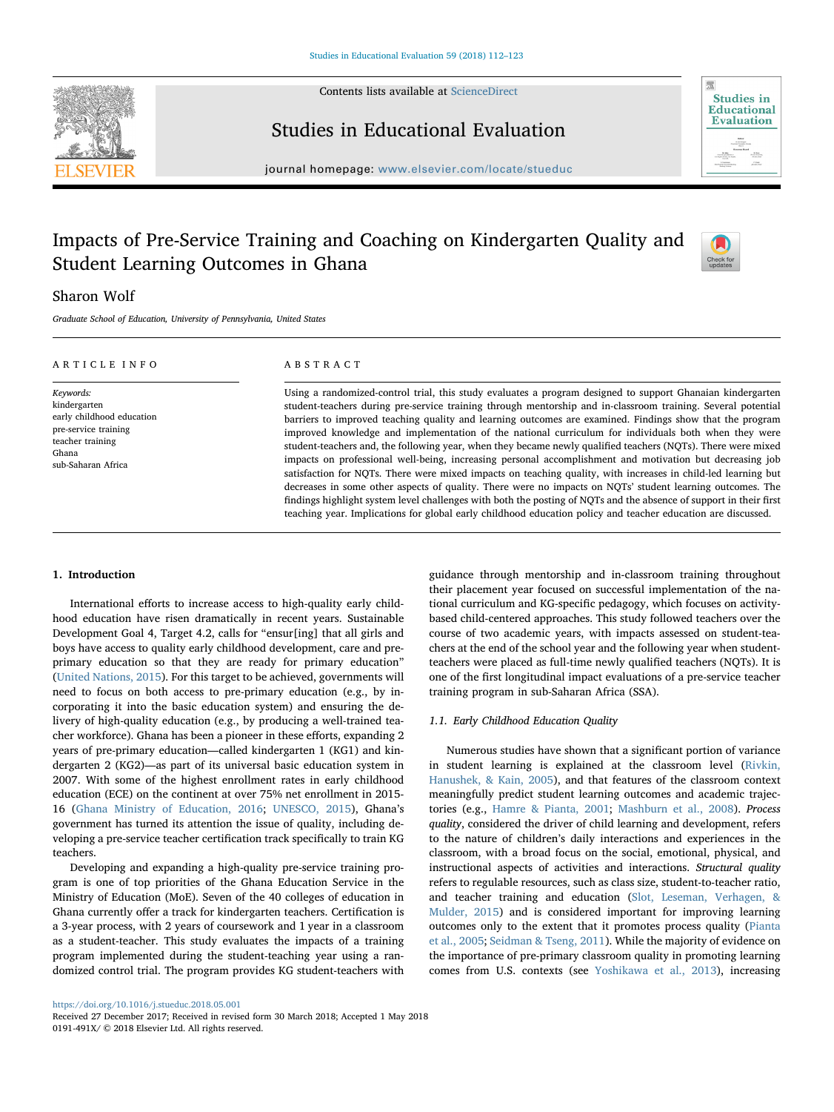

Contents lists available at [ScienceDirect](http://www.sciencedirect.com/science/journal/0191491X)

# Studies in Educational Evaluation



journal homepage: [www.elsevier.com/locate/stueduc](https://www.elsevier.com/locate/stueduc)

# Impacts of Pre-Service Training and Coaching on Kindergarten Quality and Student Learning Outcomes in Ghana



# Sharon Wolf

Graduate School of Education, University of Pennsylvania, United States

| ARTICLE INFO                                                                                                                      | ABSTRACT                                                                                                                                                                                                                                                                                                                                                                                                                                                                                                                                                                                                                                                                                                                                                                                                                                                                                                                                                                                                                       |
|-----------------------------------------------------------------------------------------------------------------------------------|--------------------------------------------------------------------------------------------------------------------------------------------------------------------------------------------------------------------------------------------------------------------------------------------------------------------------------------------------------------------------------------------------------------------------------------------------------------------------------------------------------------------------------------------------------------------------------------------------------------------------------------------------------------------------------------------------------------------------------------------------------------------------------------------------------------------------------------------------------------------------------------------------------------------------------------------------------------------------------------------------------------------------------|
| Keywords:<br>kindergarten<br>early childhood education<br>pre-service training<br>teacher training<br>Ghana<br>sub-Saharan Africa | Using a randomized-control trial, this study evaluates a program designed to support Ghanaian kindergarten<br>student-teachers during pre-service training through mentorship and in-classroom training. Several potential<br>barriers to improved teaching quality and learning outcomes are examined. Findings show that the program<br>improved knowledge and implementation of the national curriculum for individuals both when they were<br>student-teachers and, the following year, when they became newly qualified teachers (NQTs). There were mixed<br>impacts on professional well-being, increasing personal accomplishment and motivation but decreasing job<br>satisfaction for NOTs. There were mixed impacts on teaching quality, with increases in child-led learning but<br>decreases in some other aspects of quality. There were no impacts on NOTs' student learning outcomes. The<br>findings highlight system level challenges with both the posting of NOTs and the absence of support in their first |

# 1. Introduction

International efforts to increase access to high-quality early childhood education have risen dramatically in recent years. Sustainable Development Goal 4, Target 4.2, calls for "ensur[ing] that all girls and boys have access to quality early childhood development, care and preprimary education so that they are ready for primary education" ([United Nations, 2015](#page-11-0)). For this target to be achieved, governments will need to focus on both access to pre-primary education (e.g., by incorporating it into the basic education system) and ensuring the delivery of high-quality education (e.g., by producing a well-trained teacher workforce). Ghana has been a pioneer in these efforts, expanding 2 years of pre-primary education—called kindergarten 1 (KG1) and kindergarten 2 (KG2)—as part of its universal basic education system in 2007. With some of the highest enrollment rates in early childhood education (ECE) on the continent at over 75% net enrollment in 2015- 16 [\(Ghana Ministry of Education, 2016;](#page-11-1) [UNESCO, 2015\)](#page-11-2), Ghana's government has turned its attention the issue of quality, including developing a pre-service teacher certification track specifically to train KG teachers.

Developing and expanding a high-quality pre-service training program is one of top priorities of the Ghana Education Service in the Ministry of Education (MoE). Seven of the 40 colleges of education in Ghana currently offer a track for kindergarten teachers. Certification is a 3-year process, with 2 years of coursework and 1 year in a classroom as a student-teacher. This study evaluates the impacts of a training program implemented during the student-teaching year using a randomized control trial. The program provides KG student-teachers with guidance through mentorship and in-classroom training throughout their placement year focused on successful implementation of the national curriculum and KG-specific pedagogy, which focuses on activitybased child-centered approaches. This study followed teachers over the course of two academic years, with impacts assessed on student-teachers at the end of the school year and the following year when studentteachers were placed as full-time newly qualified teachers (NQTs). It is one of the first longitudinal impact evaluations of a pre-service teacher training program in sub-Saharan Africa (SSA).

#### 1.1. Early Childhood Education Quality

teaching year. Implications for global early childhood education policy and teacher education are discussed.

Numerous studies have shown that a significant portion of variance in student learning is explained at the classroom level [\(Rivkin,](#page-11-3) [Hanushek, & Kain, 2005](#page-11-3)), and that features of the classroom context meaningfully predict student learning outcomes and academic trajectories (e.g., [Hamre & Pianta, 2001](#page-11-4); [Mashburn et al., 2008](#page-11-5)). Process quality, considered the driver of child learning and development, refers to the nature of children's daily interactions and experiences in the classroom, with a broad focus on the social, emotional, physical, and instructional aspects of activities and interactions. Structural quality refers to regulable resources, such as class size, student-to-teacher ratio, and teacher training and education [\(Slot, Leseman, Verhagen, &](#page-11-6) [Mulder, 2015\)](#page-11-6) and is considered important for improving learning outcomes only to the extent that it promotes process quality [\(Pianta](#page-11-7) [et al., 2005;](#page-11-7) [Seidman & Tseng, 2011](#page-11-8)). While the majority of evidence on the importance of pre-primary classroom quality in promoting learning comes from U.S. contexts (see [Yoshikawa et al., 2013\)](#page-11-9), increasing

<https://doi.org/10.1016/j.stueduc.2018.05.001>

Received 27 December 2017; Received in revised form 30 March 2018; Accepted 1 May 2018 0191-491X/ © 2018 Elsevier Ltd. All rights reserved.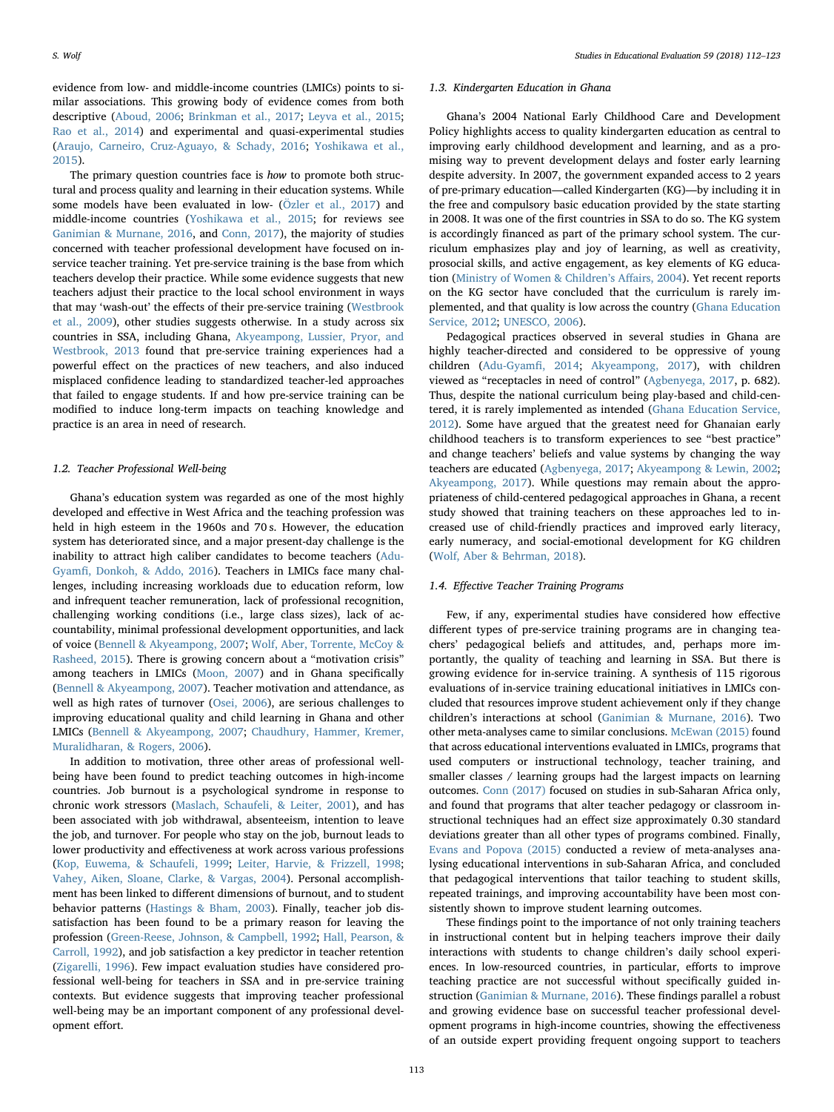evidence from low- and middle-income countries (LMICs) points to similar associations. This growing body of evidence comes from both descriptive [\(Aboud, 2006](#page-10-0); [Brinkman et al., 2017;](#page-10-1) [Leyva et al., 2015](#page-11-10); [Rao et al., 2014\)](#page-11-11) and experimental and quasi-experimental studies ([Araujo, Carneiro, Cruz-Aguayo, & Schady, 2016;](#page-10-2) [Yoshikawa et al.,](#page-11-12) [2015\)](#page-11-12).

The primary question countries face is how to promote both structural and process quality and learning in their education systems. While some models have been evaluated in low- [\(Özler et al., 2017\)](#page-11-13) and middle-income countries [\(Yoshikawa et al., 2015;](#page-11-12) for reviews see [Ganimian & Murnane, 2016,](#page-11-14) and [Conn, 2017\)](#page-11-15), the majority of studies concerned with teacher professional development have focused on inservice teacher training. Yet pre-service training is the base from which teachers develop their practice. While some evidence suggests that new teachers adjust their practice to the local school environment in ways that may 'wash-out' the effects of their pre-service training ([Westbrook](#page-11-16) [et al., 2009](#page-11-16)), other studies suggests otherwise. In a study across six countries in SSA, including Ghana, [Akyeampong, Lussier, Pryor, and](#page-10-3) [Westbrook, 2013](#page-10-3) found that pre-service training experiences had a powerful effect on the practices of new teachers, and also induced misplaced confidence leading to standardized teacher-led approaches that failed to engage students. If and how pre-service training can be modified to induce long-term impacts on teaching knowledge and practice is an area in need of research.

#### 1.2. Teacher Professional Well-being

Ghana's education system was regarded as one of the most highly developed and effective in West Africa and the teaching profession was held in high esteem in the 1960s and 70 s. However, the education system has deteriorated since, and a major present-day challenge is the inability to attract high caliber candidates to become teachers ([Adu-](#page-10-4)Gyamfi[, Donkoh, & Addo, 2016\)](#page-10-4). Teachers in LMICs face many challenges, including increasing workloads due to education reform, low and infrequent teacher remuneration, lack of professional recognition, challenging working conditions (i.e., large class sizes), lack of accountability, minimal professional development opportunities, and lack of voice [\(Bennell & Akyeampong, 2007](#page-10-5); [Wolf, Aber, Torrente, McCoy &](#page-11-17) [Rasheed, 2015\)](#page-11-17). There is growing concern about a "motivation crisis" among teachers in LMICs ([Moon, 2007](#page-11-18)) and in Ghana specifically ([Bennell & Akyeampong, 2007](#page-10-5)). Teacher motivation and attendance, as well as high rates of turnover [\(Osei, 2006\)](#page-11-19), are serious challenges to improving educational quality and child learning in Ghana and other LMICs ([Bennell & Akyeampong, 2007](#page-10-5); Chaudhury, [Hammer, Kremer,](#page-10-6) [Muralidharan, & Rogers, 2006\)](#page-10-6).

In addition to motivation, three other areas of professional wellbeing have been found to predict teaching outcomes in high-income countries. Job burnout is a psychological syndrome in response to chronic work stressors [\(Maslach, Schaufeli, & Leiter, 2001](#page-11-20)), and has been associated with job withdrawal, absenteeism, intention to leave the job, and turnover. For people who stay on the job, burnout leads to lower productivity and effectiveness at work across various professions ([Kop, Euwema, & Schaufeli, 1999;](#page-11-21) [Leiter, Harvie, & Frizzell, 1998](#page-11-22); [Vahey, Aiken, Sloane, Clarke, & Vargas, 2004\)](#page-11-23). Personal accomplishment has been linked to different dimensions of burnout, and to student behavior patterns [\(Hastings & Bham, 2003\)](#page-11-24). Finally, teacher job dissatisfaction has been found to be a primary reason for leaving the profession [\(Green-Reese, Johnson, & Campbell, 1992](#page-11-25); [Hall, Pearson, &](#page-11-26) [Carroll, 1992](#page-11-26)), and job satisfaction a key predictor in teacher retention ([Zigarelli, 1996](#page-11-27)). Few impact evaluation studies have considered professional well-being for teachers in SSA and in pre-service training contexts. But evidence suggests that improving teacher professional well-being may be an important component of any professional development effort.

#### 1.3. Kindergarten Education in Ghana

Ghana's 2004 National Early Childhood Care and Development Policy highlights access to quality kindergarten education as central to improving early childhood development and learning, and as a promising way to prevent development delays and foster early learning despite adversity. In 2007, the government expanded access to 2 years of pre-primary education—called Kindergarten (KG)—by including it in the free and compulsory basic education provided by the state starting in 2008. It was one of the first countries in SSA to do so. The KG system is accordingly financed as part of the primary school system. The curriculum emphasizes play and joy of learning, as well as creativity, prosocial skills, and active engagement, as key elements of KG education ([Ministry of Women & Children](#page-11-28)'s Affairs, 2004). Yet recent reports on the KG sector have concluded that the curriculum is rarely implemented, and that quality is low across the country [\(Ghana Education](#page-11-29) [Service, 2012;](#page-11-29) [UNESCO, 2006\)](#page-11-30).

Pedagogical practices observed in several studies in Ghana are highly teacher-directed and considered to be oppressive of young children ([Adu-Gyam](#page-10-7)fi, 2014; [Akyeampong, 2017\)](#page-10-8), with children viewed as "receptacles in need of control" ([Agbenyega, 2017,](#page-10-9) p. 682). Thus, despite the national curriculum being play-based and child-centered, it is rarely implemented as intended [\(Ghana Education Service,](#page-11-29) [2012\)](#page-11-29). Some have argued that the greatest need for Ghanaian early childhood teachers is to transform experiences to see "best practice" and change teachers' beliefs and value systems by changing the way teachers are educated ([Agbenyega, 2017](#page-10-9); [Akyeampong & Lewin, 2002](#page-10-10); [Akyeampong, 2017\)](#page-10-8). While questions may remain about the appropriateness of child-centered pedagogical approaches in Ghana, a recent study showed that training teachers on these approaches led to increased use of child-friendly practices and improved early literacy, early numeracy, and social-emotional development for KG children ([Wolf, Aber & Behrman, 2018\)](#page-11-31).

# 1.4. Effective Teacher Training Programs

Few, if any, experimental studies have considered how effective different types of pre-service training programs are in changing teachers' pedagogical beliefs and attitudes, and, perhaps more importantly, the quality of teaching and learning in SSA. But there is growing evidence for in-service training. A synthesis of 115 rigorous evaluations of in-service training educational initiatives in LMICs concluded that resources improve student achievement only if they change children's interactions at school [\(Ganimian & Murnane, 2016](#page-11-14)). Two other meta-analyses came to similar conclusions. [McEwan \(2015\)](#page-11-32) found that across educational interventions evaluated in LMICs, programs that used computers or instructional technology, teacher training, and smaller classes / learning groups had the largest impacts on learning outcomes. [Conn \(2017\)](#page-11-15) focused on studies in sub-Saharan Africa only, and found that programs that alter teacher pedagogy or classroom instructional techniques had an effect size approximately 0.30 standard deviations greater than all other types of programs combined. Finally, [Evans and Popova \(2015\)](#page-11-33) conducted a review of meta-analyses analysing educational interventions in sub-Saharan Africa, and concluded that pedagogical interventions that tailor teaching to student skills, repeated trainings, and improving accountability have been most consistently shown to improve student learning outcomes.

These findings point to the importance of not only training teachers in instructional content but in helping teachers improve their daily interactions with students to change children's daily school experiences. In low-resourced countries, in particular, efforts to improve teaching practice are not successful without specifically guided instruction ([Ganimian & Murnane, 2016\)](#page-11-14). These findings parallel a robust and growing evidence base on successful teacher professional development programs in high-income countries, showing the effectiveness of an outside expert providing frequent ongoing support to teachers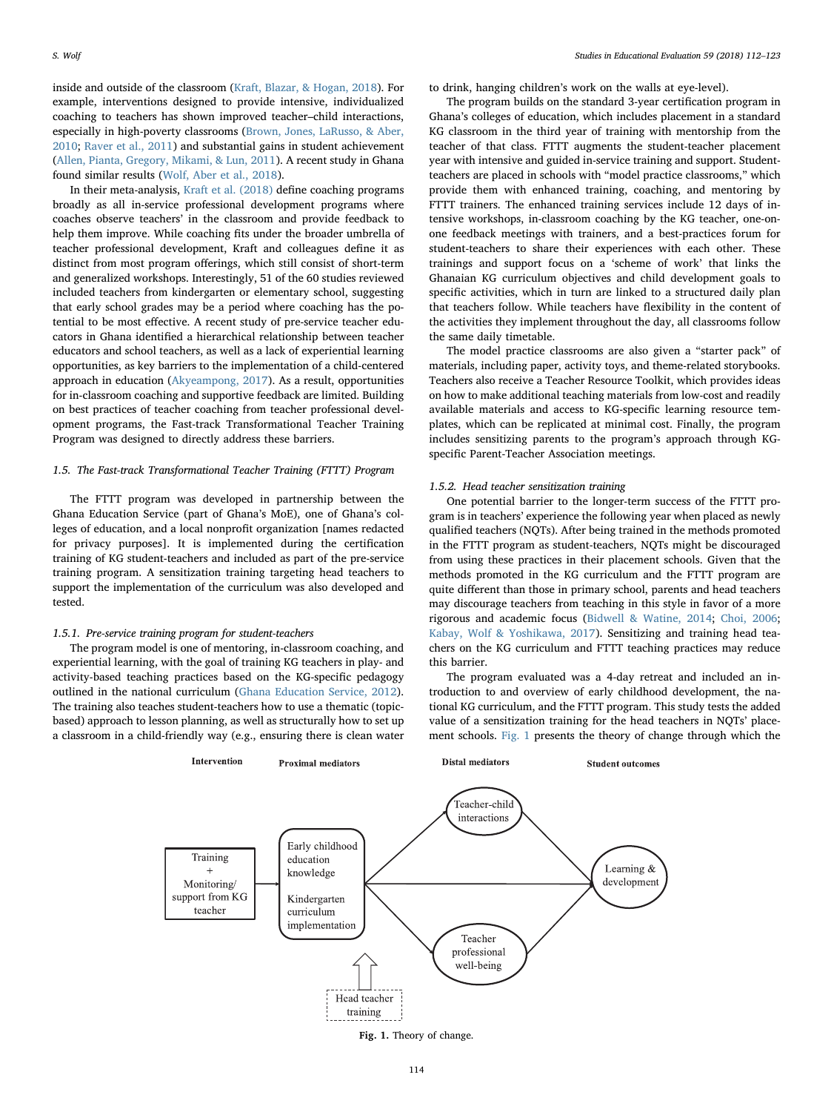inside and outside of the classroom [\(Kraft, Blazar, & Hogan, 2018](#page-11-34)). For example, interventions designed to provide intensive, individualized coaching to teachers has shown improved teacher–child interactions, especially in high-poverty classrooms ([Brown, Jones, LaRusso, & Aber,](#page-10-11) [2010;](#page-10-11) [Raver et al., 2011\)](#page-11-35) and substantial gains in student achievement ([Allen, Pianta, Gregory, Mikami, & Lun, 2011](#page-10-12)). A recent study in Ghana found similar results [\(Wolf, Aber et al., 2018](#page-11-31)).

In their meta-analysis, [Kraft et al. \(2018\)](#page-11-34) define coaching programs broadly as all in-service professional development programs where coaches observe teachers' in the classroom and provide feedback to help them improve. While coaching fits under the broader umbrella of teacher professional development, Kraft and colleagues define it as distinct from most program offerings, which still consist of short-term and generalized workshops. Interestingly, 51 of the 60 studies reviewed included teachers from kindergarten or elementary school, suggesting that early school grades may be a period where coaching has the potential to be most effective. A recent study of pre-service teacher educators in Ghana identified a hierarchical relationship between teacher educators and school teachers, as well as a lack of experiential learning opportunities, as key barriers to the implementation of a child-centered approach in education ([Akyeampong, 2017\)](#page-10-8). As a result, opportunities for in-classroom coaching and supportive feedback are limited. Building on best practices of teacher coaching from teacher professional development programs, the Fast-track Transformational Teacher Training Program was designed to directly address these barriers.

#### 1.5. The Fast-track Transformational Teacher Training (FTTT) Program

The FTTT program was developed in partnership between the Ghana Education Service (part of Ghana's MoE), one of Ghana's colleges of education, and a local nonprofit organization [names redacted for privacy purposes]. It is implemented during the certification training of KG student-teachers and included as part of the pre-service training program. A sensitization training targeting head teachers to support the implementation of the curriculum was also developed and tested.

# 1.5.1. Pre-service training program for student-teachers

The program model is one of mentoring, in-classroom coaching, and experiential learning, with the goal of training KG teachers in play- and activity-based teaching practices based on the KG-specific pedagogy outlined in the national curriculum ([Ghana Education Service, 2012](#page-11-29)). The training also teaches student-teachers how to use a thematic (topicbased) approach to lesson planning, as well as structurally how to set up a classroom in a child-friendly way (e.g., ensuring there is clean water

to drink, hanging children's work on the walls at eye-level).

The program builds on the standard 3-year certification program in Ghana's colleges of education, which includes placement in a standard KG classroom in the third year of training with mentorship from the teacher of that class. FTTT augments the student-teacher placement year with intensive and guided in-service training and support. Studentteachers are placed in schools with "model practice classrooms," which provide them with enhanced training, coaching, and mentoring by FTTT trainers. The enhanced training services include 12 days of intensive workshops, in-classroom coaching by the KG teacher, one-onone feedback meetings with trainers, and a best-practices forum for student-teachers to share their experiences with each other. These trainings and support focus on a 'scheme of work' that links the Ghanaian KG curriculum objectives and child development goals to specific activities, which in turn are linked to a structured daily plan that teachers follow. While teachers have flexibility in the content of the activities they implement throughout the day, all classrooms follow the same daily timetable.

The model practice classrooms are also given a "starter pack" of materials, including paper, activity toys, and theme-related storybooks. Teachers also receive a Teacher Resource Toolkit, which provides ideas on how to make additional teaching materials from low-cost and readily available materials and access to KG-specific learning resource templates, which can be replicated at minimal cost. Finally, the program includes sensitizing parents to the program's approach through KGspecific Parent-Teacher Association meetings.

# 1.5.2. Head teacher sensitization training

One potential barrier to the longer-term success of the FTTT program is in teachers' experience the following year when placed as newly qualified teachers (NQTs). After being trained in the methods promoted in the FTTT program as student-teachers, NQTs might be discouraged from using these practices in their placement schools. Given that the methods promoted in the KG curriculum and the FTTT program are quite different than those in primary school, parents and head teachers may discourage teachers from teaching in this style in favor of a more rigorous and academic focus [\(Bidwell & Watine, 2014;](#page-10-13) [Choi, 2006](#page-11-36); [Kabay, Wolf & Yoshikawa, 2017](#page-11-37)). Sensitizing and training head teachers on the KG curriculum and FTTT teaching practices may reduce this barrier.

The program evaluated was a 4-day retreat and included an introduction to and overview of early childhood development, the national KG curriculum, and the FTTT program. This study tests the added value of a sensitization training for the head teachers in NQTs' placement schools. [Fig. 1](#page-2-0) presents the theory of change through which the

<span id="page-2-0"></span>

Fig. 1. Theory of change.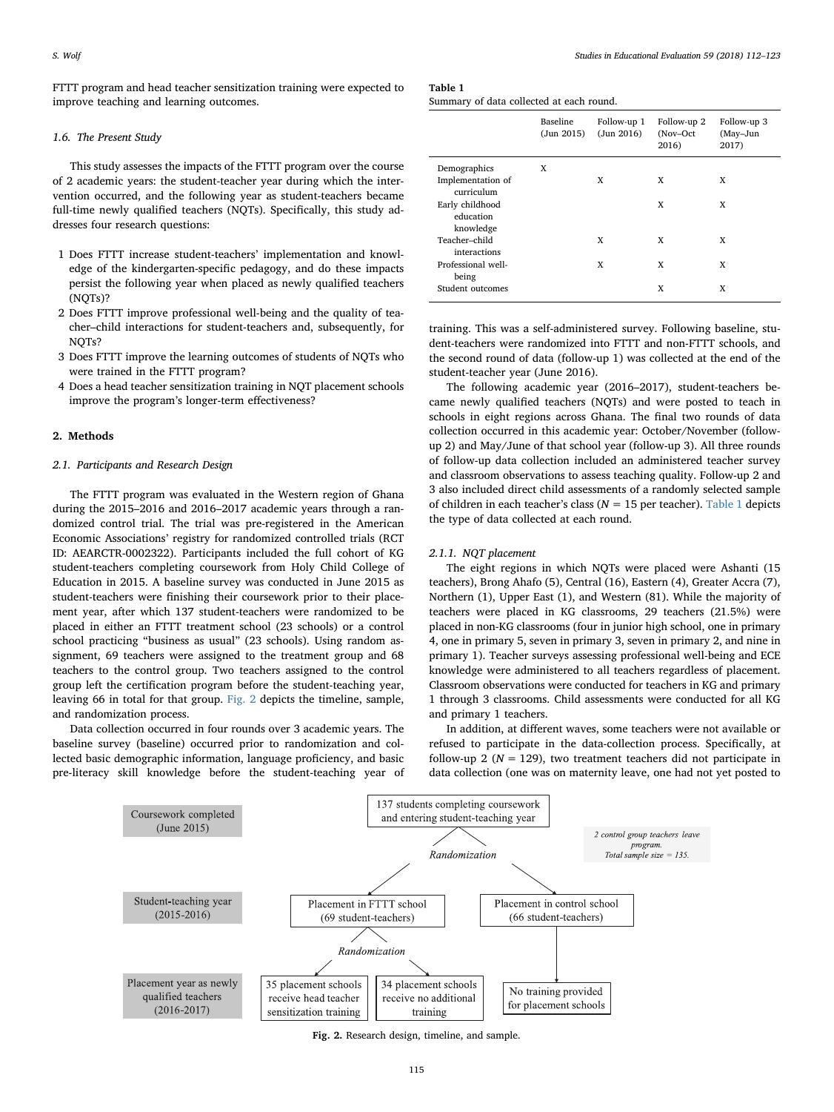FTTT program and head teacher sensitization training were expected to improve teaching and learning outcomes.

# 1.6. The Present Study

This study assesses the impacts of the FTTT program over the course of 2 academic years: the student-teacher year during which the intervention occurred, and the following year as student-teachers became full-time newly qualified teachers (NQTs). Specifically, this study addresses four research questions:

- 1 Does FTTT increase student-teachers' implementation and knowledge of the kindergarten-specific pedagogy, and do these impacts persist the following year when placed as newly qualified teachers (NQTs)?
- 2 Does FTTT improve professional well-being and the quality of teacher–child interactions for student-teachers and, subsequently, for NOT<sub>s?</sub>
- 3 Does FTTT improve the learning outcomes of students of NQTs who were trained in the FTTT program?
- 4 Does a head teacher sensitization training in NQT placement schools improve the program's longer-term effectiveness?

#### 2. Methods

#### 2.1. Participants and Research Design

The FTTT program was evaluated in the Western region of Ghana during the 2015–2016 and 2016–2017 academic years through a randomized control trial. The trial was pre-registered in the American Economic Associations' registry for randomized controlled trials (RCT ID: AEARCTR-0002322). Participants included the full cohort of KG student-teachers completing coursework from Holy Child College of Education in 2015. A baseline survey was conducted in June 2015 as student-teachers were finishing their coursework prior to their placement year, after which 137 student-teachers were randomized to be placed in either an FTTT treatment school (23 schools) or a control school practicing "business as usual" (23 schools). Using random assignment, 69 teachers were assigned to the treatment group and 68 teachers to the control group. Two teachers assigned to the control group left the certification program before the student-teaching year, leaving 66 in total for that group. [Fig. 2](#page-3-0) depicts the timeline, sample, and randomization process.

Data collection occurred in four rounds over 3 academic years. The baseline survey (baseline) occurred prior to randomization and collected basic demographic information, language proficiency, and basic pre-literacy skill knowledge before the student-teaching year of

| S. Wolf | Studies in Educational Evaluation 59 (2018) 112–123 |  |
|---------|-----------------------------------------------------|--|
|         |                                                     |  |

<span id="page-3-1"></span>Table 1 Summary of data collected at each round.

|                    | Baseline<br>(Jun 2015) | Follow-up 1<br>(Jun 2016) | Follow-up 2<br>(Nov-Oct<br>2016) | Follow-up 3<br>(May-Jun<br>2017) |
|--------------------|------------------------|---------------------------|----------------------------------|----------------------------------|
| Demographics       | X                      |                           |                                  |                                  |
| Implementation of  |                        | x                         | X                                | X                                |
| curriculum         |                        |                           |                                  |                                  |
| Early childhood    |                        |                           | X                                | X                                |
| education          |                        |                           |                                  |                                  |
| knowledge          |                        |                           |                                  |                                  |
| Teacher-child      |                        | X                         | X                                | X                                |
| interactions       |                        |                           |                                  |                                  |
| Professional well- |                        | X                         | X                                | X                                |
| being              |                        |                           |                                  |                                  |
| Student outcomes   |                        |                           | X                                | X                                |
|                    |                        |                           |                                  |                                  |

training. This was a self-administered survey. Following baseline, student-teachers were randomized into FTTT and non-FTTT schools, and the second round of data (follow-up 1) was collected at the end of the student-teacher year (June 2016).

The following academic year (2016–2017), student-teachers became newly qualified teachers (NQTs) and were posted to teach in schools in eight regions across Ghana. The final two rounds of data collection occurred in this academic year: October/November (followup 2) and May/June of that school year (follow-up 3). All three rounds of follow-up data collection included an administered teacher survey and classroom observations to assess teaching quality. Follow-up 2 and 3 also included direct child assessments of a randomly selected sample of children in each teacher's class ( $N = 15$  per teacher). [Table 1](#page-3-1) depicts the type of data collected at each round.

# 2.1.1. NQT placement

The eight regions in which NQTs were placed were Ashanti (15 teachers), Brong Ahafo (5), Central (16), Eastern (4), Greater Accra (7), Northern (1), Upper East (1), and Western (81). While the majority of teachers were placed in KG classrooms, 29 teachers (21.5%) were placed in non-KG classrooms (four in junior high school, one in primary 4, one in primary 5, seven in primary 3, seven in primary 2, and nine in primary 1). Teacher surveys assessing professional well-being and ECE knowledge were administered to all teachers regardless of placement. Classroom observations were conducted for teachers in KG and primary 1 through 3 classrooms. Child assessments were conducted for all KG and primary 1 teachers.

In addition, at different waves, some teachers were not available or refused to participate in the data-collection process. Specifically, at follow-up 2 ( $N = 129$ ), two treatment teachers did not participate in data collection (one was on maternity leave, one had not yet posted to

<span id="page-3-0"></span>

Fig. 2. Research design, timeline, and sample.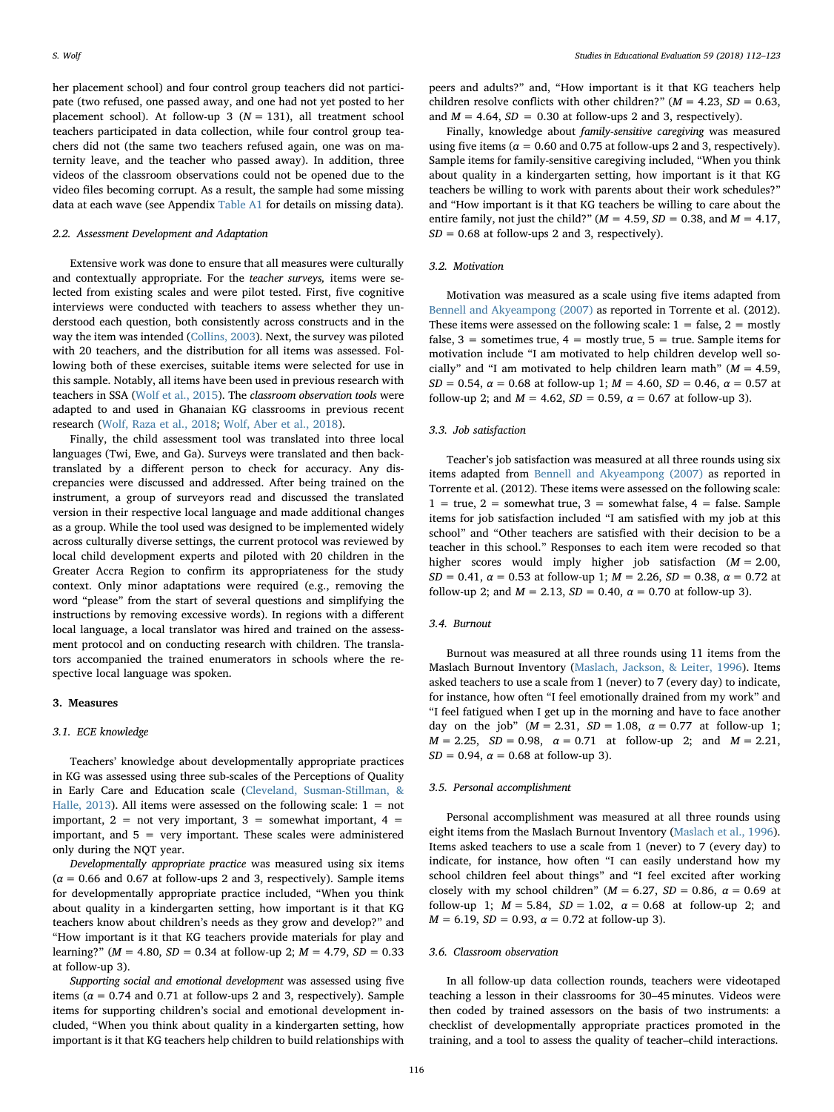her placement school) and four control group teachers did not participate (two refused, one passed away, and one had not yet posted to her placement school). At follow-up 3 ( $N = 131$ ), all treatment school teachers participated in data collection, while four control group teachers did not (the same two teachers refused again, one was on maternity leave, and the teacher who passed away). In addition, three videos of the classroom observations could not be opened due to the video files becoming corrupt. As a result, the sample had some missing data at each wave (see Appendix [Table A1](#page-10-14) for details on missing data).

# 2.2. Assessment Development and Adaptation

Extensive work was done to ensure that all measures were culturally and contextually appropriate. For the teacher surveys, items were selected from existing scales and were pilot tested. First, five cognitive interviews were conducted with teachers to assess whether they understood each question, both consistently across constructs and in the way the item was intended [\(Collins, 2003\)](#page-11-38). Next, the survey was piloted with 20 teachers, and the distribution for all items was assessed. Following both of these exercises, suitable items were selected for use in this sample. Notably, all items have been used in previous research with teachers in SSA ([Wolf et al., 2015\)](#page-11-17). The classroom observation tools were adapted to and used in Ghanaian KG classrooms in previous recent research ([Wolf, Raza et al., 2018;](#page-11-39) [Wolf, Aber et al., 2018\)](#page-11-31).

Finally, the child assessment tool was translated into three local languages (Twi, Ewe, and Ga). Surveys were translated and then backtranslated by a different person to check for accuracy. Any discrepancies were discussed and addressed. After being trained on the instrument, a group of surveyors read and discussed the translated version in their respective local language and made additional changes as a group. While the tool used was designed to be implemented widely across culturally diverse settings, the current protocol was reviewed by local child development experts and piloted with 20 children in the Greater Accra Region to confirm its appropriateness for the study context. Only minor adaptations were required (e.g., removing the word "please" from the start of several questions and simplifying the instructions by removing excessive words). In regions with a different local language, a local translator was hired and trained on the assessment protocol and on conducting research with children. The translators accompanied the trained enumerators in schools where the respective local language was spoken.

#### 3. Measures

#### 3.1. ECE knowledge

Teachers' knowledge about developmentally appropriate practices in KG was assessed using three sub-scales of the Perceptions of Quality in Early Care and Education scale [\(Cleveland, Susman-Stillman, &](#page-11-40) [Halle, 2013](#page-11-40)). All items were assessed on the following scale:  $1 = not$ important,  $2 = not very important, 3 = somewhat important, 4 =$ important, and 5 = very important. These scales were administered only during the NQT year.

Developmentally appropriate practice was measured using six items  $(\alpha = 0.66$  and 0.67 at follow-ups 2 and 3, respectively). Sample items for developmentally appropriate practice included, "When you think about quality in a kindergarten setting, how important is it that KG teachers know about children's needs as they grow and develop?" and "How important is it that KG teachers provide materials for play and learning?" ( $M = 4.80$ ,  $SD = 0.34$  at follow-up 2;  $M = 4.79$ ,  $SD = 0.33$ at follow-up 3).

Supporting social and emotional development was assessed using five items ( $\alpha$  = 0.74 and 0.71 at follow-ups 2 and 3, respectively). Sample items for supporting children's social and emotional development included, "When you think about quality in a kindergarten setting, how important is it that KG teachers help children to build relationships with

peers and adults?" and, "How important is it that KG teachers help children resolve conflicts with other children?" ( $M = 4.23$ ,  $SD = 0.63$ , and  $M = 4.64$ ,  $SD = 0.30$  at follow-ups 2 and 3, respectively).

Finally, knowledge about family-sensitive caregiving was measured using five items ( $\alpha = 0.60$  and 0.75 at follow-ups 2 and 3, respectively). Sample items for family-sensitive caregiving included, "When you think about quality in a kindergarten setting, how important is it that KG teachers be willing to work with parents about their work schedules?" and "How important is it that KG teachers be willing to care about the entire family, not just the child?" ( $M = 4.59$ ,  $SD = 0.38$ , and  $M = 4.17$ ,  $SD = 0.68$  at follow-ups 2 and 3, respectively).

# 3.2. Motivation

Motivation was measured as a scale using five items adapted from [Bennell and Akyeampong \(2007\)](#page-10-5) as reported in Torrente et al. (2012). These items were assessed on the following scale:  $1 = false$ ,  $2 = mostly$ false,  $3 =$  sometimes true,  $4 =$  mostly true,  $5 =$  true. Sample items for motivation include "I am motivated to help children develop well socially" and "I am motivated to help children learn math" ( $M = 4.59$ ,  $SD = 0.54$ ,  $\alpha = 0.68$  at follow-up 1;  $M = 4.60$ ,  $SD = 0.46$ ,  $\alpha = 0.57$  at follow-up 2; and  $M = 4.62$ ,  $SD = 0.59$ ,  $\alpha = 0.67$  at follow-up 3).

#### 3.3. Job satisfaction

Teacher's job satisfaction was measured at all three rounds using six items adapted from [Bennell and Akyeampong \(2007\)](#page-10-5) as reported in Torrente et al. (2012). These items were assessed on the following scale:  $1 = true$ ,  $2 =$  somewhat true,  $3 =$  somewhat false,  $4 =$  false. Sample items for job satisfaction included "I am satisfied with my job at this school" and "Other teachers are satisfied with their decision to be a teacher in this school." Responses to each item were recoded so that higher scores would imply higher job satisfaction  $(M = 2.00,$  $SD = 0.41$ ,  $\alpha = 0.53$  at follow-up 1;  $M = 2.26$ ,  $SD = 0.38$ ,  $\alpha = 0.72$  at follow-up 2; and  $M = 2.13$ ,  $SD = 0.40$ ,  $\alpha = 0.70$  at follow-up 3).

# 3.4. Burnout

Burnout was measured at all three rounds using 11 items from the Maslach Burnout Inventory ([Maslach, Jackson, & Leiter, 1996](#page-11-41)). Items asked teachers to use a scale from 1 (never) to 7 (every day) to indicate, for instance, how often "I feel emotionally drained from my work" and "I feel fatigued when I get up in the morning and have to face another day on the job" ( $M = 2.31$ ,  $SD = 1.08$ ,  $\alpha = 0.77$  at follow-up 1;  $M = 2.25$ ,  $SD = 0.98$ ,  $\alpha = 0.71$  at follow-up 2; and  $M = 2.21$ ,  $SD = 0.94$ ,  $\alpha = 0.68$  at follow-up 3).

#### 3.5. Personal accomplishment

Personal accomplishment was measured at all three rounds using eight items from the Maslach Burnout Inventory [\(Maslach et al., 1996](#page-11-41)). Items asked teachers to use a scale from 1 (never) to 7 (every day) to indicate, for instance, how often "I can easily understand how my school children feel about things" and "I feel excited after working closely with my school children" ( $M = 6.27$ ,  $SD = 0.86$ ,  $\alpha = 0.69$  at follow-up 1;  $M = 5.84$ ,  $SD = 1.02$ ,  $\alpha = 0.68$  at follow-up 2; and  $M = 6.19$ ,  $SD = 0.93$ ,  $\alpha = 0.72$  at follow-up 3).

# 3.6. Classroom observation

In all follow-up data collection rounds, teachers were videotaped teaching a lesson in their classrooms for 30–45 minutes. Videos were then coded by trained assessors on the basis of two instruments: a checklist of developmentally appropriate practices promoted in the training, and a tool to assess the quality of teacher–child interactions.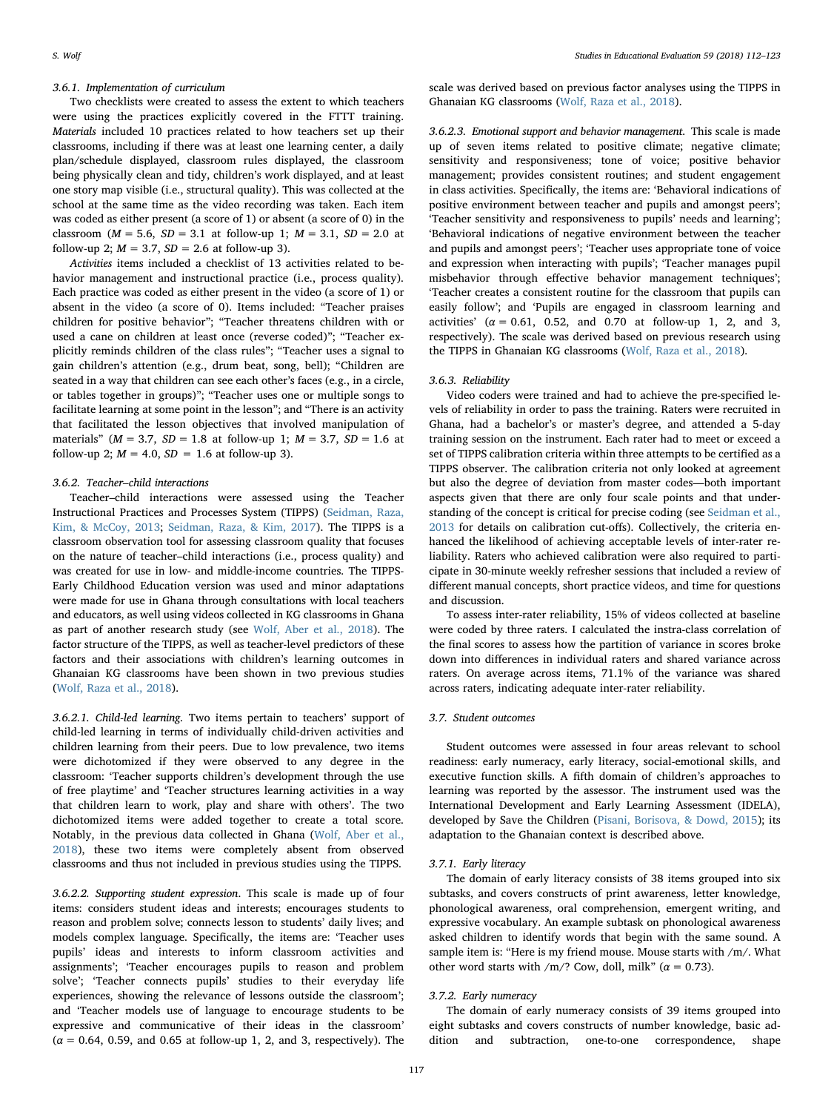#### 3.6.1. Implementation of curriculum

Two checklists were created to assess the extent to which teachers were using the practices explicitly covered in the FTTT training. Materials included 10 practices related to how teachers set up their classrooms, including if there was at least one learning center, a daily plan/schedule displayed, classroom rules displayed, the classroom being physically clean and tidy, children's work displayed, and at least one story map visible (i.e., structural quality). This was collected at the school at the same time as the video recording was taken. Each item was coded as either present (a score of 1) or absent (a score of 0) in the classroom ( $M = 5.6$ ,  $SD = 3.1$  at follow-up 1;  $M = 3.1$ ,  $SD = 2.0$  at follow-up 2:  $M = 3.7$ ,  $SD = 2.6$  at follow-up 3).

Activities items included a checklist of 13 activities related to behavior management and instructional practice (i.e., process quality). Each practice was coded as either present in the video (a score of 1) or absent in the video (a score of 0). Items included: "Teacher praises children for positive behavior"; "Teacher threatens children with or used a cane on children at least once (reverse coded)"; "Teacher explicitly reminds children of the class rules"; "Teacher uses a signal to gain children's attention (e.g., drum beat, song, bell); "Children are seated in a way that children can see each other's faces (e.g., in a circle, or tables together in groups)"; "Teacher uses one or multiple songs to facilitate learning at some point in the lesson"; and "There is an activity that facilitated the lesson objectives that involved manipulation of materials" ( $M = 3.7$ ,  $SD = 1.8$  at follow-up 1;  $M = 3.7$ ,  $SD = 1.6$  at follow-up 2;  $M = 4.0$ ,  $SD = 1.6$  at follow-up 3).

# 3.6.2. Teacher–child interactions

Teacher–child interactions were assessed using the Teacher Instructional Practices and Processes System (TIPPS) ([Seidman, Raza,](#page-11-42) [Kim, & McCoy, 2013;](#page-11-42) [Seidman, Raza, & Kim, 2017\)](#page-11-43). The TIPPS is a classroom observation tool for assessing classroom quality that focuses on the nature of teacher–child interactions (i.e., process quality) and was created for use in low- and middle-income countries. The TIPPS-Early Childhood Education version was used and minor adaptations were made for use in Ghana through consultations with local teachers and educators, as well using videos collected in KG classrooms in Ghana as part of another research study (see [Wolf, Aber et al., 2018\)](#page-11-31). The factor structure of the TIPPS, as well as teacher-level predictors of these factors and their associations with children's learning outcomes in Ghanaian KG classrooms have been shown in two previous studies ([Wolf, Raza et al., 2018\)](#page-11-39).

3.6.2.1. Child-led learning. Two items pertain to teachers' support of child-led learning in terms of individually child-driven activities and children learning from their peers. Due to low prevalence, two items were dichotomized if they were observed to any degree in the classroom: 'Teacher supports children's development through the use of free playtime' and 'Teacher structures learning activities in a way that children learn to work, play and share with others'. The two dichotomized items were added together to create a total score. Notably, in the previous data collected in Ghana ([Wolf, Aber et al.,](#page-11-31) [2018\)](#page-11-31), these two items were completely absent from observed classrooms and thus not included in previous studies using the TIPPS.

3.6.2.2. Supporting student expression. This scale is made up of four items: considers student ideas and interests; encourages students to reason and problem solve; connects lesson to students' daily lives; and models complex language. Specifically, the items are: 'Teacher uses pupils' ideas and interests to inform classroom activities and assignments'; 'Teacher encourages pupils to reason and problem solve'; 'Teacher connects pupils' studies to their everyday life experiences, showing the relevance of lessons outside the classroom'; and 'Teacher models use of language to encourage students to be expressive and communicative of their ideas in the classroom'  $(\alpha = 0.64, 0.59, \text{ and } 0.65 \text{ at follow-up } 1, 2, \text{ and } 3, \text{ respectively).}$  The

scale was derived based on previous factor analyses using the TIPPS in Ghanaian KG classrooms [\(Wolf, Raza et al., 2018](#page-11-39)).

3.6.2.3. Emotional support and behavior management. This scale is made up of seven items related to positive climate; negative climate; sensitivity and responsiveness; tone of voice; positive behavior management; provides consistent routines; and student engagement in class activities. Specifically, the items are: 'Behavioral indications of positive environment between teacher and pupils and amongst peers'; 'Teacher sensitivity and responsiveness to pupils' needs and learning'; 'Behavioral indications of negative environment between the teacher and pupils and amongst peers'; 'Teacher uses appropriate tone of voice and expression when interacting with pupils'; 'Teacher manages pupil misbehavior through effective behavior management techniques'; 'Teacher creates a consistent routine for the classroom that pupils can easily follow'; and 'Pupils are engaged in classroom learning and activities' ( $\alpha = 0.61$ , 0.52, and 0.70 at follow-up 1, 2, and 3, respectively). The scale was derived based on previous research using the TIPPS in Ghanaian KG classrooms [\(Wolf, Raza et al., 2018](#page-11-39)).

#### 3.6.3. Reliability

Video coders were trained and had to achieve the pre-specified levels of reliability in order to pass the training. Raters were recruited in Ghana, had a bachelor's or master's degree, and attended a 5-day training session on the instrument. Each rater had to meet or exceed a set of TIPPS calibration criteria within three attempts to be certified as a TIPPS observer. The calibration criteria not only looked at agreement but also the degree of deviation from master codes—both important aspects given that there are only four scale points and that understanding of the concept is critical for precise coding (see [Seidman et al.,](#page-11-42) [2013](#page-11-42) for details on calibration cut-offs). Collectively, the criteria enhanced the likelihood of achieving acceptable levels of inter-rater reliability. Raters who achieved calibration were also required to participate in 30-minute weekly refresher sessions that included a review of different manual concepts, short practice videos, and time for questions and discussion.

To assess inter-rater reliability, 15% of videos collected at baseline were coded by three raters. I calculated the instra-class correlation of the final scores to assess how the partition of variance in scores broke down into differences in individual raters and shared variance across raters. On average across items, 71.1% of the variance was shared across raters, indicating adequate inter-rater reliability.

# 3.7. Student outcomes

Student outcomes were assessed in four areas relevant to school readiness: early numeracy, early literacy, social-emotional skills, and executive function skills. A fifth domain of children's approaches to learning was reported by the assessor. The instrument used was the International Development and Early Learning Assessment (IDELA), developed by Save the Children ([Pisani, Borisova, & Dowd, 2015](#page-11-44)); its adaptation to the Ghanaian context is described above.

# 3.7.1. Early literacy

The domain of early literacy consists of 38 items grouped into six subtasks, and covers constructs of print awareness, letter knowledge, phonological awareness, oral comprehension, emergent writing, and expressive vocabulary. An example subtask on phonological awareness asked children to identify words that begin with the same sound. A sample item is: "Here is my friend mouse. Mouse starts with /m/. What other word starts with /m/? Cow, doll, milk" ( $\alpha$  = 0.73).

#### 3.7.2. Early numeracy

The domain of early numeracy consists of 39 items grouped into eight subtasks and covers constructs of number knowledge, basic addition and subtraction, one-to-one correspondence, shape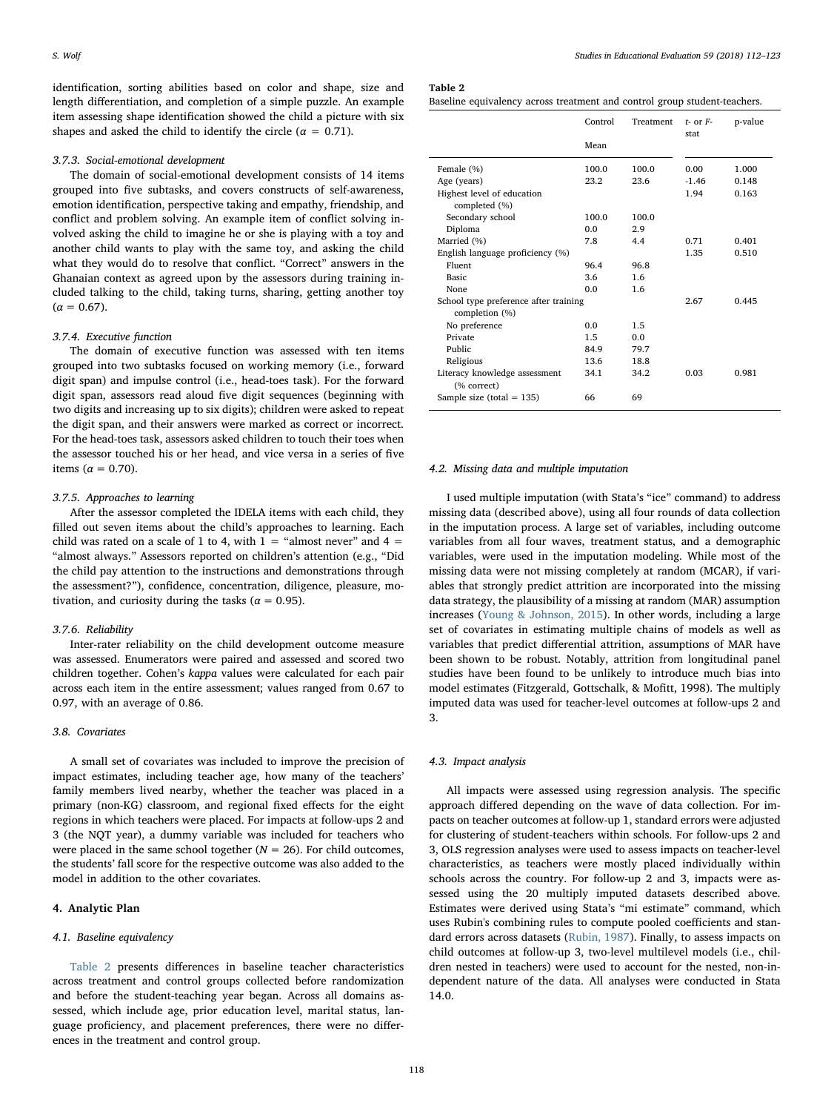identification, sorting abilities based on color and shape, size and length differentiation, and completion of a simple puzzle. An example item assessing shape identification showed the child a picture with six shapes and asked the child to identify the circle ( $\alpha = 0.71$ ).

#### 3.7.3. Social-emotional development

The domain of social-emotional development consists of 14 items grouped into five subtasks, and covers constructs of self-awareness, emotion identification, perspective taking and empathy, friendship, and conflict and problem solving. An example item of conflict solving involved asking the child to imagine he or she is playing with a toy and another child wants to play with the same toy, and asking the child what they would do to resolve that conflict. "Correct" answers in the Ghanaian context as agreed upon by the assessors during training included talking to the child, taking turns, sharing, getting another toy  $(\alpha = 0.67)$ .

# 3.7.4. Executive function

The domain of executive function was assessed with ten items grouped into two subtasks focused on working memory (i.e., forward digit span) and impulse control (i.e., head-toes task). For the forward digit span, assessors read aloud five digit sequences (beginning with two digits and increasing up to six digits); children were asked to repeat the digit span, and their answers were marked as correct or incorrect. For the head-toes task, assessors asked children to touch their toes when the assessor touched his or her head, and vice versa in a series of five items ( $\alpha = 0.70$ ).

#### 3.7.5. Approaches to learning

After the assessor completed the IDELA items with each child, they filled out seven items about the child's approaches to learning. Each child was rated on a scale of 1 to 4, with  $1 =$  "almost never" and  $4 =$ "almost always." Assessors reported on children's attention (e.g., "Did the child pay attention to the instructions and demonstrations through the assessment?"), confidence, concentration, diligence, pleasure, motivation, and curiosity during the tasks ( $\alpha = 0.95$ ).

### 3.7.6. Reliability

Inter-rater reliability on the child development outcome measure was assessed. Enumerators were paired and assessed and scored two children together. Cohen's kappa values were calculated for each pair across each item in the entire assessment; values ranged from 0.67 to 0.97, with an average of 0.86.

#### 3.8. Covariates

A small set of covariates was included to improve the precision of impact estimates, including teacher age, how many of the teachers' family members lived nearby, whether the teacher was placed in a primary (non-KG) classroom, and regional fixed effects for the eight regions in which teachers were placed. For impacts at follow-ups 2 and 3 (the NQT year), a dummy variable was included for teachers who were placed in the same school together ( $N = 26$ ). For child outcomes, the students' fall score for the respective outcome was also added to the model in addition to the other covariates.

# 4. Analytic Plan

# 4.1. Baseline equivalency

[Table 2](#page-6-0) presents differences in baseline teacher characteristics across treatment and control groups collected before randomization and before the student-teaching year began. Across all domains assessed, which include age, prior education level, marital status, language proficiency, and placement preferences, there were no differences in the treatment and control group.

# <span id="page-6-0"></span>Table 2

| Baseline equivalency across treatment and control group student-teachers. |  |  |  |  |  |
|---------------------------------------------------------------------------|--|--|--|--|--|
|---------------------------------------------------------------------------|--|--|--|--|--|

|                                              | Control | Treatment | $t$ - or $F$ -<br>stat | p-value |
|----------------------------------------------|---------|-----------|------------------------|---------|
|                                              | Mean    |           |                        |         |
| Female (%)                                   | 100.0   | 100.0     | 0.00                   | 1.000   |
| Age (years)                                  | 23.2    | 23.6      | $-1.46$                | 0.148   |
| Highest level of education                   |         |           | 1.94                   | 0.163   |
| completed (%)                                |         |           |                        |         |
| Secondary school                             | 100.0   | 100.0     |                        |         |
| Diploma                                      | 0.0     | 2.9       |                        |         |
| Married (%)                                  | 7.8     | 4.4       | 0.71                   | 0.401   |
| English language proficiency (%)             |         |           | 1.35                   | 0.510   |
| Fluent                                       | 96.4    | 96.8      |                        |         |
| Basic                                        | 3.6     | 1.6       |                        |         |
| <b>None</b>                                  | 0.0     | 1.6       |                        |         |
| School type preference after training        |         |           | 2.67                   | 0.445   |
| completion (%)                               |         |           |                        |         |
| No preference                                | 0.0     | 1.5       |                        |         |
| Private                                      | 1.5     | 0.0       |                        |         |
| Public                                       | 84.9    | 79.7      |                        |         |
| Religious                                    | 13.6    | 18.8      |                        |         |
| Literacy knowledge assessment<br>(% correct) | 34.1    | 34.2      | 0.03                   | 0.981   |
| Sample size (total $= 135$ )                 | 66      | 69        |                        |         |

#### 4.2. Missing data and multiple imputation

I used multiple imputation (with Stata's "ice" command) to address missing data (described above), using all four rounds of data collection in the imputation process. A large set of variables, including outcome variables from all four waves, treatment status, and a demographic variables, were used in the imputation modeling. While most of the missing data were not missing completely at random (MCAR), if variables that strongly predict attrition are incorporated into the missing data strategy, the plausibility of a missing at random (MAR) assumption increases [\(Young & Johnson, 2015\)](#page-11-45). In other words, including a large set of covariates in estimating multiple chains of models as well as variables that predict differential attrition, assumptions of MAR have been shown to be robust. Notably, attrition from longitudinal panel studies have been found to be unlikely to introduce much bias into model estimates (Fitzgerald, Gottschalk, & Mofitt, 1998). The multiply imputed data was used for teacher-level outcomes at follow-ups 2 and 3.

#### 4.3. Impact analysis

All impacts were assessed using regression analysis. The specific approach differed depending on the wave of data collection. For impacts on teacher outcomes at follow-up 1, standard errors were adjusted for clustering of student-teachers within schools. For follow-ups 2 and 3, OLS regression analyses were used to assess impacts on teacher-level characteristics, as teachers were mostly placed individually within schools across the country. For follow-up 2 and 3, impacts were assessed using the 20 multiply imputed datasets described above. Estimates were derived using Stata's "mi estimate" command, which uses Rubin's combining rules to compute pooled coefficients and standard errors across datasets [\(Rubin, 1987\)](#page-11-46). Finally, to assess impacts on child outcomes at follow-up 3, two-level multilevel models (i.e., children nested in teachers) were used to account for the nested, non-independent nature of the data. All analyses were conducted in Stata 14.0.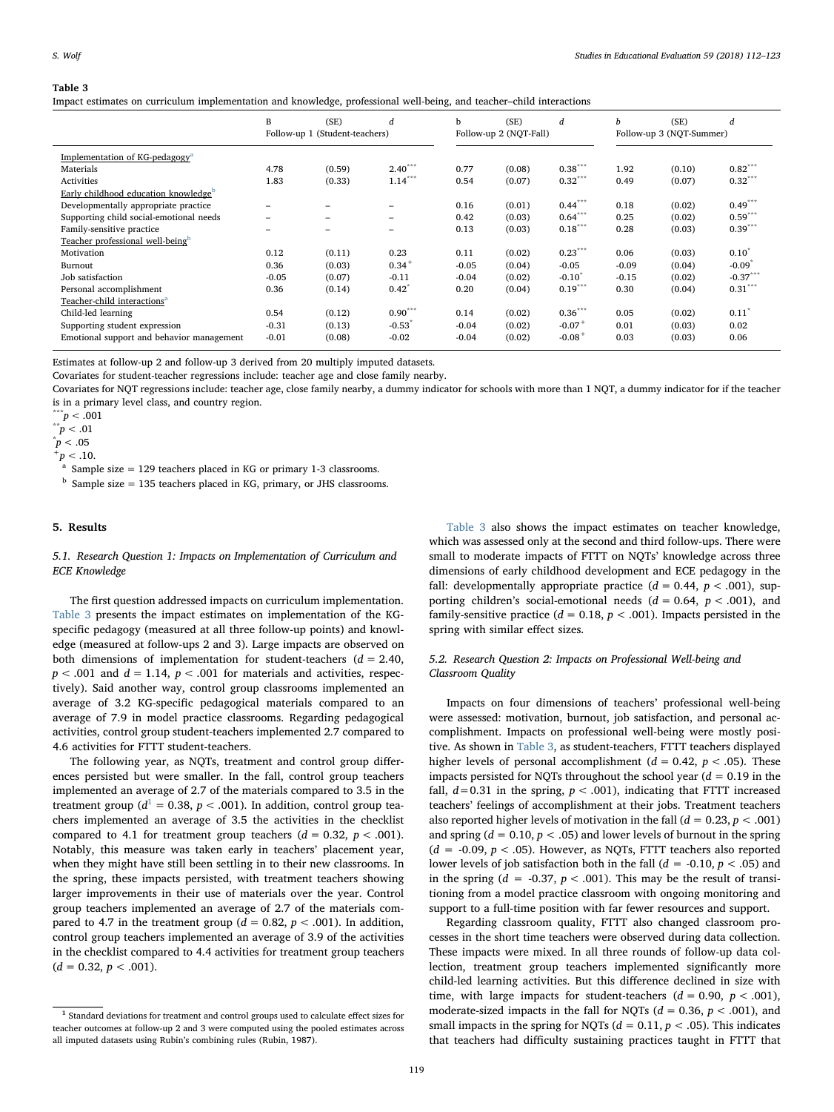#### <span id="page-7-0"></span>Table 3

Impact estimates on curriculum implementation and knowledge, professional well-being, and teacher–child interactions

|                                                  | B                        | (SE)                           | d                 | b.      | (SE)                   | d                   | h       | (SE)                     | d                    |
|--------------------------------------------------|--------------------------|--------------------------------|-------------------|---------|------------------------|---------------------|---------|--------------------------|----------------------|
|                                                  |                          | Follow-up 1 (Student-teachers) |                   |         | Follow-up 2 (NQT-Fall) |                     |         | Follow-up 3 (NQT-Summer) |                      |
| Implementation of KG-pedagogy <sup>a</sup>       |                          |                                |                   |         |                        |                     |         |                          |                      |
| Materials                                        | 4.78                     | (0.59)                         | $2.40***$         | 0.77    | (0.08)                 | $0.38***$           | 1.92    | (0.10)                   | $0.82***$            |
| <b>Activities</b>                                | 1.83                     | (0.33)                         | $1.14***$         | 0.54    | (0.07)                 | $0.32***$           | 0.49    | (0.07)                   | $0.32***$            |
| Early childhood education knowledge <sup>b</sup> |                          |                                |                   |         |                        |                     |         |                          |                      |
| Developmentally appropriate practice             | $\overline{\phantom{0}}$ | -                              | -                 | 0.16    | (0.01)                 | $0.44^{\degree}$    | 0.18    | (0.02)                   | 常常常<br>0.49          |
| Supporting child social-emotional needs          |                          | -                              | -                 | 0.42    | (0.03)                 | $0.64^{\degree}$    | 0.25    | (0.02)                   | $0.59***$            |
| Family-sensitive practice                        | $\overline{\phantom{a}}$ | -                              | -                 | 0.13    | (0.03)                 | $0.18***$           | 0.28    | (0.03)                   | $0.39***$            |
| Teacher professional well-being <sup>b</sup>     |                          |                                |                   |         |                        |                     |         |                          |                      |
| Motivation                                       | 0.12                     | (0.11)                         | 0.23              | 0.11    | (0.02)                 | $0.23***$           | 0.06    | (0.03)                   | $0.10^{1}$           |
| Burnout                                          | 0.36                     | (0.03)                         | $0.34 +$          | $-0.05$ | (0.04)                 | $-0.05$             | $-0.09$ | (0.04)                   | $-0.09$ <sup>*</sup> |
| Job satisfaction                                 | $-0.05$                  | (0.07)                         | $-0.11$           | $-0.04$ | (0.02)                 | $-0.10^*$           | $-0.15$ | (0.02)                   | $-0.37***$           |
| Personal accomplishment                          | 0.36                     | (0.14)                         | $0.42^{\degree}$  | 0.20    | (0.04)                 | $0.19$ <sup>*</sup> | 0.30    | (0.04)                   | 0.31                 |
| Teacher-child interactions <sup>a</sup>          |                          |                                |                   |         |                        |                     |         |                          |                      |
| Child-led learning                               | 0.54                     | (0.12)                         | 常常常<br>$0.90^{*}$ | 0.14    | (0.02)                 | $0.36***$           | 0.05    | (0.02)                   | 0.11                 |
| Supporting student expression                    | $-0.31$                  | (0.13)                         | $-0.53$           | $-0.04$ | (0.02)                 | $-0.07+$            | 0.01    | (0.03)                   | 0.02                 |
| Emotional support and behavior management        | $-0.01$                  | (0.08)                         | $-0.02$           | $-0.04$ | (0.02)                 | $-0.08 +$           | 0.03    | (0.03)                   | 0.06                 |

Estimates at follow-up 2 and follow-up 3 derived from 20 multiply imputed datasets.

Covariates for student-teacher regressions include: teacher age and close family nearby.

Covariates for NQT regressions include: teacher age, close family nearby, a dummy indicator for schools with more than 1 NQT, a dummy indicator for if the teacher is in a primary level class, and country region.

 $p^*$  < .001

 $p^*$  ...

 $p<.05$ 

 $^{+}p < .10.$ 

<span id="page-7-2"></span> $a$  Sample size = 129 teachers placed in KG or primary 1-3 classrooms.

<span id="page-7-3"></span> $<sup>b</sup>$  Sample size = 135 teachers placed in KG, primary, or JHS classrooms.</sup>

# 5. Results

5.1. Research Question 1: Impacts on Implementation of Curriculum and ECE Knowledge

The first question addressed impacts on curriculum implementation. [Table 3](#page-7-0) presents the impact estimates on implementation of the KGspecific pedagogy (measured at all three follow-up points) and knowledge (measured at follow-ups 2 and 3). Large impacts are observed on both dimensions of implementation for student-teachers  $(d = 2.40,$  $p < .001$  and  $d = 1.14$ ,  $p < .001$  for materials and activities, respectively). Said another way, control group classrooms implemented an average of 3.2 KG-specific pedagogical materials compared to an average of 7.9 in model practice classrooms. Regarding pedagogical activities, control group student-teachers implemented 2.7 compared to 4.6 activities for FTTT student-teachers.

The following year, as NQTs, treatment and control group differences persisted but were smaller. In the fall, control group teachers implemented an average of 2.7 of the materials compared to 3.5 in the treatment group ( $d^1 = 0.38$  $d^1 = 0.38$  $d^1 = 0.38$ ,  $p < .001$ ). In addition, control group teachers implemented an average of 3.5 the activities in the checklist compared to 4.1 for treatment group teachers  $(d = 0.32, p < .001)$ . Notably, this measure was taken early in teachers' placement year, when they might have still been settling in to their new classrooms. In the spring, these impacts persisted, with treatment teachers showing larger improvements in their use of materials over the year. Control group teachers implemented an average of 2.7 of the materials compared to 4.7 in the treatment group ( $d = 0.82$ ,  $p < .001$ ). In addition, control group teachers implemented an average of 3.9 of the activities in the checklist compared to 4.4 activities for treatment group teachers  $(d = 0.32, p < .001).$ 

[Table 3](#page-7-0) also shows the impact estimates on teacher knowledge, which was assessed only at the second and third follow-ups. There were small to moderate impacts of FTTT on NQTs' knowledge across three dimensions of early childhood development and ECE pedagogy in the fall: developmentally appropriate practice  $(d = 0.44, p < .001)$ , supporting children's social-emotional needs  $(d = 0.64, p < .001)$ , and family-sensitive practice ( $d = 0.18$ ,  $p < .001$ ). Impacts persisted in the spring with similar effect sizes.

# 5.2. Research Question 2: Impacts on Professional Well-being and Classroom Quality

Impacts on four dimensions of teachers' professional well-being were assessed: motivation, burnout, job satisfaction, and personal accomplishment. Impacts on professional well-being were mostly positive. As shown in [Table 3,](#page-7-0) as student-teachers, FTTT teachers displayed higher levels of personal accomplishment ( $d = 0.42$ ,  $p < .05$ ). These impacts persisted for NQTs throughout the school year ( $d = 0.19$  in the fall,  $d=0.31$  in the spring,  $p < .001$ ), indicating that FTTT increased teachers' feelings of accomplishment at their jobs. Treatment teachers also reported higher levels of motivation in the fall ( $d = 0.23, p < .001$ ) and spring ( $d = 0.10, p < .05$ ) and lower levels of burnout in the spring  $(d = -0.09, p < .05)$ . However, as NQTs, FTTT teachers also reported lower levels of job satisfaction both in the fall ( $d = -0.10$ ,  $p < .05$ ) and in the spring ( $d = -0.37$ ,  $p < .001$ ). This may be the result of transitioning from a model practice classroom with ongoing monitoring and support to a full-time position with far fewer resources and support.

Regarding classroom quality, FTTT also changed classroom processes in the short time teachers were observed during data collection. These impacts were mixed. In all three rounds of follow-up data collection, treatment group teachers implemented significantly more child-led learning activities. But this difference declined in size with time, with large impacts for student-teachers  $(d = 0.90, p < .001)$ , moderate-sized impacts in the fall for NQTs ( $d = 0.36$ ,  $p < .001$ ), and small impacts in the spring for NQTs ( $d = 0.11$ ,  $p < .05$ ). This indicates that teachers had difficulty sustaining practices taught in FTTT that

<span id="page-7-1"></span><sup>1</sup> Standard deviations for treatment and control groups used to calculate effect sizes for teacher outcomes at follow-up 2 and 3 were computed using the pooled estimates across all imputed datasets using Rubin's combining rules (Rubin, 1987).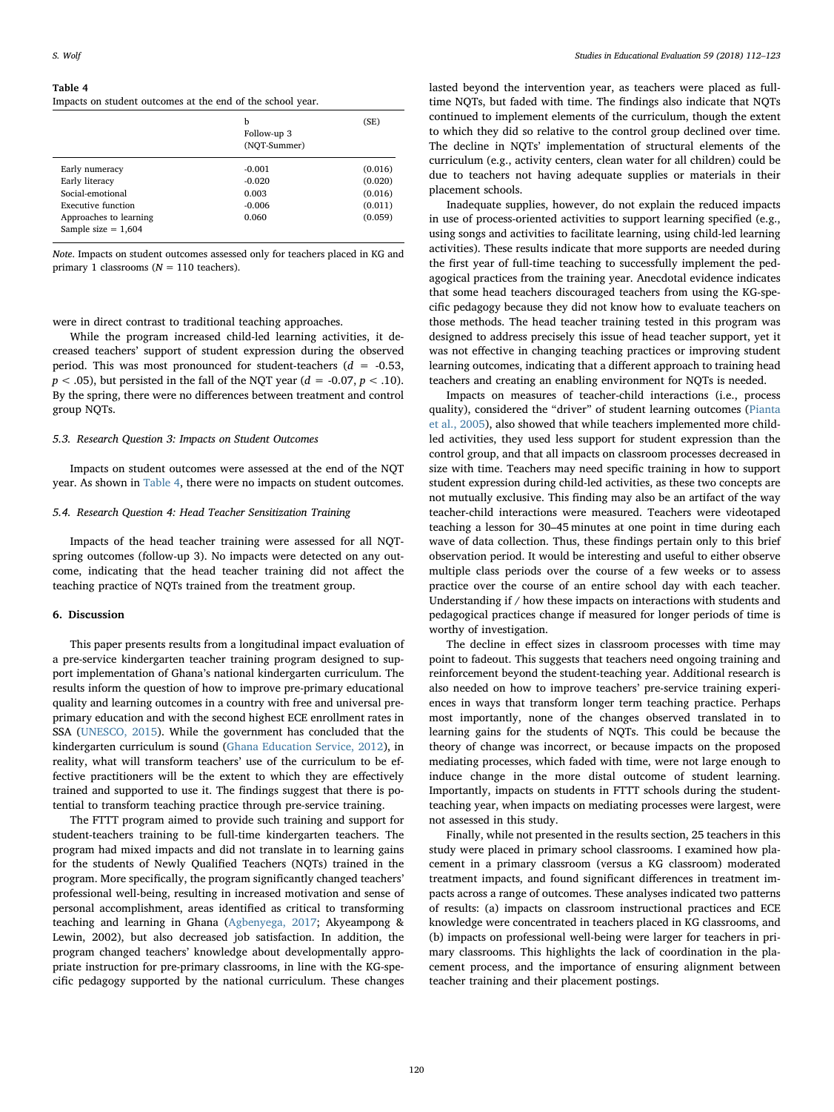#### <span id="page-8-0"></span>Table 4

Impacts on student outcomes at the end of the school year.

|                        | b<br>Follow-up 3<br>(NOT-Summer) | (SE)    |
|------------------------|----------------------------------|---------|
| Early numeracy         | $-0.001$                         | (0.016) |
| Early literacy         | $-0.020$                         | (0.020) |
| Social-emotional       | 0.003                            | (0.016) |
| Executive function     | $-0.006$                         | (0.011) |
| Approaches to learning | 0.060                            | (0.059) |
| Sample size $= 1,604$  |                                  |         |

Note. Impacts on student outcomes assessed only for teachers placed in KG and primary 1 classrooms ( $N = 110$  teachers).

# were in direct contrast to traditional teaching approaches.

While the program increased child-led learning activities, it decreased teachers' support of student expression during the observed period. This was most pronounced for student-teachers  $(d = -0.53,$  $p < .05$ ), but persisted in the fall of the NQT year ( $d = -0.07$ ,  $p < .10$ ). By the spring, there were no differences between treatment and control group NQTs.

# 5.3. Research Question 3: Impacts on Student Outcomes

Impacts on student outcomes were assessed at the end of the NQT year. As shown in [Table 4,](#page-8-0) there were no impacts on student outcomes.

#### 5.4. Research Question 4: Head Teacher Sensitization Training

Impacts of the head teacher training were assessed for all NQTspring outcomes (follow-up 3). No impacts were detected on any outcome, indicating that the head teacher training did not affect the teaching practice of NQTs trained from the treatment group.

# 6. Discussion

This paper presents results from a longitudinal impact evaluation of a pre-service kindergarten teacher training program designed to support implementation of Ghana's national kindergarten curriculum. The results inform the question of how to improve pre-primary educational quality and learning outcomes in a country with free and universal preprimary education and with the second highest ECE enrollment rates in SSA ([UNESCO, 2015](#page-11-2)). While the government has concluded that the kindergarten curriculum is sound [\(Ghana Education Service, 2012\)](#page-11-29), in reality, what will transform teachers' use of the curriculum to be effective practitioners will be the extent to which they are effectively trained and supported to use it. The findings suggest that there is potential to transform teaching practice through pre-service training.

The FTTT program aimed to provide such training and support for student-teachers training to be full-time kindergarten teachers. The program had mixed impacts and did not translate in to learning gains for the students of Newly Qualified Teachers (NQTs) trained in the program. More specifically, the program significantly changed teachers' professional well-being, resulting in increased motivation and sense of personal accomplishment, areas identified as critical to transforming teaching and learning in Ghana [\(Agbenyega, 2017](#page-10-9); Akyeampong & Lewin, 2002), but also decreased job satisfaction. In addition, the program changed teachers' knowledge about developmentally appropriate instruction for pre-primary classrooms, in line with the KG-specific pedagogy supported by the national curriculum. These changes

lasted beyond the intervention year, as teachers were placed as fulltime NQTs, but faded with time. The findings also indicate that NQTs continued to implement elements of the curriculum, though the extent to which they did so relative to the control group declined over time. The decline in NQTs' implementation of structural elements of the curriculum (e.g., activity centers, clean water for all children) could be due to teachers not having adequate supplies or materials in their placement schools.

Inadequate supplies, however, do not explain the reduced impacts in use of process-oriented activities to support learning specified (e.g., using songs and activities to facilitate learning, using child-led learning activities). These results indicate that more supports are needed during the first year of full-time teaching to successfully implement the pedagogical practices from the training year. Anecdotal evidence indicates that some head teachers discouraged teachers from using the KG-specific pedagogy because they did not know how to evaluate teachers on those methods. The head teacher training tested in this program was designed to address precisely this issue of head teacher support, yet it was not effective in changing teaching practices or improving student learning outcomes, indicating that a different approach to training head teachers and creating an enabling environment for NQTs is needed.

Impacts on measures of teacher-child interactions (i.e., process quality), considered the "driver" of student learning outcomes [\(Pianta](#page-11-7) [et al., 2005\)](#page-11-7), also showed that while teachers implemented more childled activities, they used less support for student expression than the control group, and that all impacts on classroom processes decreased in size with time. Teachers may need specific training in how to support student expression during child-led activities, as these two concepts are not mutually exclusive. This finding may also be an artifact of the way teacher-child interactions were measured. Teachers were videotaped teaching a lesson for 30–45 minutes at one point in time during each wave of data collection. Thus, these findings pertain only to this brief observation period. It would be interesting and useful to either observe multiple class periods over the course of a few weeks or to assess practice over the course of an entire school day with each teacher. Understanding if / how these impacts on interactions with students and pedagogical practices change if measured for longer periods of time is worthy of investigation.

The decline in effect sizes in classroom processes with time may point to fadeout. This suggests that teachers need ongoing training and reinforcement beyond the student-teaching year. Additional research is also needed on how to improve teachers' pre-service training experiences in ways that transform longer term teaching practice. Perhaps most importantly, none of the changes observed translated in to learning gains for the students of NQTs. This could be because the theory of change was incorrect, or because impacts on the proposed mediating processes, which faded with time, were not large enough to induce change in the more distal outcome of student learning. Importantly, impacts on students in FTTT schools during the studentteaching year, when impacts on mediating processes were largest, were not assessed in this study.

Finally, while not presented in the results section, 25 teachers in this study were placed in primary school classrooms. I examined how placement in a primary classroom (versus a KG classroom) moderated treatment impacts, and found significant differences in treatment impacts across a range of outcomes. These analyses indicated two patterns of results: (a) impacts on classroom instructional practices and ECE knowledge were concentrated in teachers placed in KG classrooms, and (b) impacts on professional well-being were larger for teachers in primary classrooms. This highlights the lack of coordination in the placement process, and the importance of ensuring alignment between teacher training and their placement postings.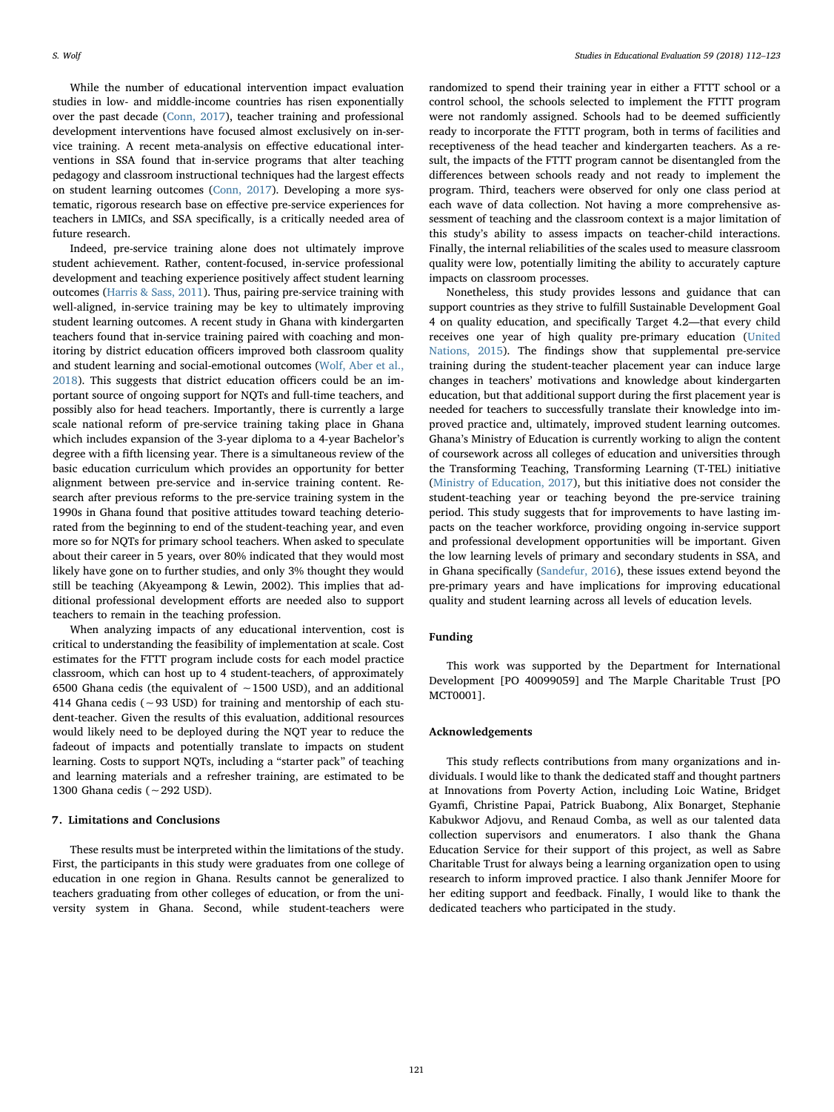While the number of educational intervention impact evaluation studies in low- and middle-income countries has risen exponentially over the past decade [\(Conn, 2017](#page-11-15)), teacher training and professional development interventions have focused almost exclusively on in-service training. A recent meta-analysis on effective educational interventions in SSA found that in-service programs that alter teaching pedagogy and classroom instructional techniques had the largest effects on student learning outcomes [\(Conn, 2017](#page-11-15)). Developing a more systematic, rigorous research base on effective pre-service experiences for teachers in LMICs, and SSA specifically, is a critically needed area of future research.

Indeed, pre-service training alone does not ultimately improve student achievement. Rather, content-focused, in-service professional development and teaching experience positively affect student learning outcomes [\(Harris & Sass, 2011](#page-11-47)). Thus, pairing pre-service training with well-aligned, in-service training may be key to ultimately improving student learning outcomes. A recent study in Ghana with kindergarten teachers found that in-service training paired with coaching and monitoring by district education officers improved both classroom quality and student learning and social-emotional outcomes [\(Wolf, Aber et al.,](#page-11-31) [2018\)](#page-11-31). This suggests that district education officers could be an important source of ongoing support for NQTs and full-time teachers, and possibly also for head teachers. Importantly, there is currently a large scale national reform of pre-service training taking place in Ghana which includes expansion of the 3-year diploma to a 4-year Bachelor's degree with a fifth licensing year. There is a simultaneous review of the basic education curriculum which provides an opportunity for better alignment between pre-service and in-service training content. Research after previous reforms to the pre-service training system in the 1990s in Ghana found that positive attitudes toward teaching deteriorated from the beginning to end of the student-teaching year, and even more so for NQTs for primary school teachers. When asked to speculate about their career in 5 years, over 80% indicated that they would most likely have gone on to further studies, and only 3% thought they would still be teaching (Akyeampong & Lewin, 2002). This implies that additional professional development efforts are needed also to support teachers to remain in the teaching profession.

When analyzing impacts of any educational intervention, cost is critical to understanding the feasibility of implementation at scale. Cost estimates for the FTTT program include costs for each model practice classroom, which can host up to 4 student-teachers, of approximately 6500 Ghana cedis (the equivalent of ∼1500 USD), and an additional 414 Ghana cedis (∼93 USD) for training and mentorship of each student-teacher. Given the results of this evaluation, additional resources would likely need to be deployed during the NQT year to reduce the fadeout of impacts and potentially translate to impacts on student learning. Costs to support NQTs, including a "starter pack" of teaching and learning materials and a refresher training, are estimated to be 1300 Ghana cedis (∼292 USD).

# 7. Limitations and Conclusions

These results must be interpreted within the limitations of the study. First, the participants in this study were graduates from one college of education in one region in Ghana. Results cannot be generalized to teachers graduating from other colleges of education, or from the university system in Ghana. Second, while student-teachers were

randomized to spend their training year in either a FTTT school or a control school, the schools selected to implement the FTTT program were not randomly assigned. Schools had to be deemed sufficiently ready to incorporate the FTTT program, both in terms of facilities and receptiveness of the head teacher and kindergarten teachers. As a result, the impacts of the FTTT program cannot be disentangled from the differences between schools ready and not ready to implement the program. Third, teachers were observed for only one class period at each wave of data collection. Not having a more comprehensive assessment of teaching and the classroom context is a major limitation of this study's ability to assess impacts on teacher-child interactions. Finally, the internal reliabilities of the scales used to measure classroom quality were low, potentially limiting the ability to accurately capture impacts on classroom processes.

Nonetheless, this study provides lessons and guidance that can support countries as they strive to fulfill Sustainable Development Goal 4 on quality education, and specifically Target 4.2—that every child receives one year of high quality pre-primary education ([United](#page-11-0) [Nations, 2015](#page-11-0)). The findings show that supplemental pre-service training during the student-teacher placement year can induce large changes in teachers' motivations and knowledge about kindergarten education, but that additional support during the first placement year is needed for teachers to successfully translate their knowledge into improved practice and, ultimately, improved student learning outcomes. Ghana's Ministry of Education is currently working to align the content of coursework across all colleges of education and universities through the Transforming Teaching, Transforming Learning (T-TEL) initiative ([Ministry of Education, 2017](#page-11-48)), but this initiative does not consider the student-teaching year or teaching beyond the pre-service training period. This study suggests that for improvements to have lasting impacts on the teacher workforce, providing ongoing in-service support and professional development opportunities will be important. Given the low learning levels of primary and secondary students in SSA, and in Ghana specifically [\(Sandefur, 2016](#page-11-49)), these issues extend beyond the pre-primary years and have implications for improving educational quality and student learning across all levels of education levels.

#### Funding

This work was supported by the Department for International Development [PO 40099059] and The Marple Charitable Trust [PO MCT0001].

# Acknowledgements

This study reflects contributions from many organizations and individuals. I would like to thank the dedicated staff and thought partners at Innovations from Poverty Action, including Loic Watine, Bridget Gyamfi, Christine Papai, Patrick Buabong, Alix Bonarget, Stephanie Kabukwor Adjovu, and Renaud Comba, as well as our talented data collection supervisors and enumerators. I also thank the Ghana Education Service for their support of this project, as well as Sabre Charitable Trust for always being a learning organization open to using research to inform improved practice. I also thank Jennifer Moore for her editing support and feedback. Finally, I would like to thank the dedicated teachers who participated in the study.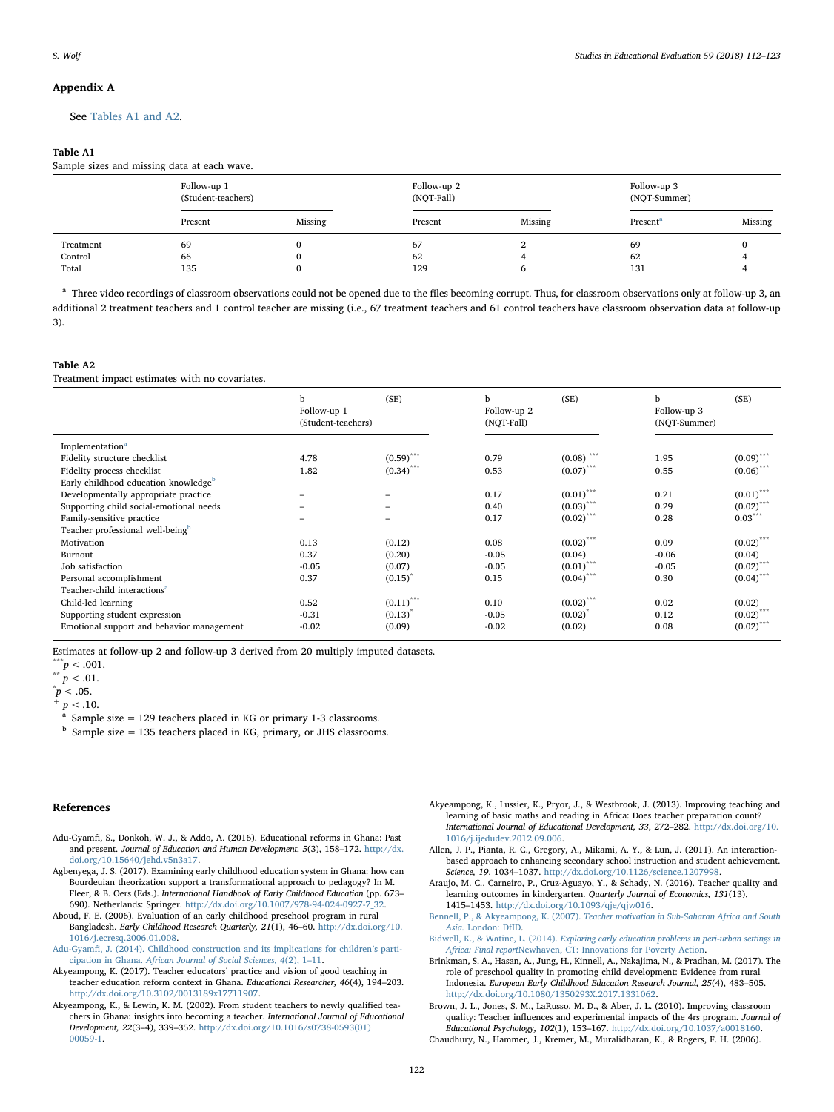# Appendix A

# <span id="page-10-14"></span>Table A1

Sample sizes and missing data at each wave.

|                               | Follow-up 1<br>(Student-teachers) |         | Follow-up 2<br>(NQT-Fall) |         | Follow-up 3<br>(NQT-Summer) |         |
|-------------------------------|-----------------------------------|---------|---------------------------|---------|-----------------------------|---------|
|                               | Present                           | Missing | Present                   | Missing | Present <sup>a</sup>        | Missing |
| Treatment<br>Control<br>Total | 69<br>66<br>135                   |         | 67<br>62<br>129           | ▵<br>ь  | 69<br>62<br>131             |         |

<span id="page-10-17"></span> $^{\text{a}}$  Three video recordings of classroom observations could not be opened due to the files becoming corrupt. Thus, for classroom observations only at follow-up 3, an additional 2 treatment teachers and 1 control teacher are missing (i.e., 67 treatment teachers and 61 control teachers have classroom observation data at follow-up 3).

#### Table A2

Treatment impact estimates with no covariates.

|                                                  | b<br>Follow-up 1<br>(Student-teachers) | (SE)                     | b<br>Follow-up 2<br>(NOT-Fall) | (SE)                   | b<br>Follow-up 3<br>(NOT-Summer) | (SE)           |
|--------------------------------------------------|----------------------------------------|--------------------------|--------------------------------|------------------------|----------------------------------|----------------|
| Implementation <sup>a</sup>                      |                                        | $(0.59)^{***}$           |                                |                        |                                  | $(0.09)^{***}$ |
| Fidelity structure checklist                     | 4.78                                   | $(0.34)^{***}$           | 0.79                           | (0.08)<br>$(0.07)$ *** | 1.95                             | $(0.06)^{***}$ |
| Fidelity process checklist                       | 1.82                                   |                          | 0.53                           |                        | 0.55                             |                |
| Early childhood education knowledge <sup>b</sup> |                                        |                          |                                |                        |                                  |                |
| Developmentally appropriate practice             |                                        | -                        | 0.17                           | $(0.01)$ <sup>*</sup>  | 0.21                             | $(0.01)$ ***   |
| Supporting child social-emotional needs          |                                        |                          | 0.40                           | $(0.03)$ ***           | 0.29                             | $(0.02)$ ***   |
| Family-sensitive practice                        |                                        | $\overline{\phantom{0}}$ | 0.17                           | $(0.02)$ ***           | 0.28                             | $0.03***$      |
| Teacher professional well-being <sup>b</sup>     |                                        |                          |                                |                        |                                  |                |
| Motivation                                       | 0.13                                   | (0.12)                   | 0.08                           | $(0.02)^{***}$         | 0.09                             | $(0.02)^{***}$ |
| Burnout                                          | 0.37                                   | (0.20)                   | $-0.05$                        | (0.04)                 | $-0.06$                          | (0.04)         |
| Job satisfaction                                 | $-0.05$                                | (0.07)                   | $-0.05$                        | $(0.01)$ <sup>*</sup>  | $-0.05$                          | $(0.02)^{***}$ |
| Personal accomplishment                          | 0.37                                   | $(0.15)^{*}$             | 0.15                           | $(0.04)$ ***           | 0.30                             | $(0.04)$ ***   |
| Teacher-child interactions <sup>a</sup>          |                                        |                          |                                |                        |                                  |                |
| Child-led learning                               | 0.52                                   | $(0.11)^{***}$           | 0.10                           | $(0.02)$ ***           | 0.02                             | (0.02)         |
| Supporting student expression                    | $-0.31$                                | $(0.13)$ <sup>2</sup>    | $-0.05$                        | (0.02)                 | 0.12                             | $(0.02)^{***}$ |
| Emotional support and behavior management        | $-0.02$                                | (0.09)                   | $-0.02$                        | (0.02)                 | 0.08                             | $(0.02)^{***}$ |

Estimates at follow-up 2 and follow-up 3 derived from 20 multiply imputed datasets.

 $p < .10.$ <sup>a</sup> Corrected by **p** 

<span id="page-10-15"></span>Sample size  $= 129$  teachers placed in KG or primary 1-3 classrooms.

<span id="page-10-16"></span> $<sup>b</sup>$  Sample size = 135 teachers placed in KG, primary, or JHS classrooms.</sup>

#### References

- <span id="page-10-4"></span>Adu-Gyamfi, S., Donkoh, W. J., & Addo, A. (2016). Educational reforms in Ghana: Past and present. Journal of Education and Human Development, 5(3), 158–172. [http://dx.](http://dx.doi.org/10.15640/jehd.v5n3a17) [doi.org/10.15640/jehd.v5n3a17](http://dx.doi.org/10.15640/jehd.v5n3a17).
- <span id="page-10-9"></span>Agbenyega, J. S. (2017). Examining early childhood education system in Ghana: how can Bourdeuian theorization support a transformational approach to pedagogy? In M. Fleer, & B. Oers (Eds.). International Handbook of Early Childhood Education (pp. 673– 690). Netherlands: Springer. [http://dx.doi.org/10.1007/978-94-024-0927-7\\_32](http://dx.doi.org/10.1007/978-94-024-0927-7_32).
- <span id="page-10-0"></span>Aboud, F. E. (2006). Evaluation of an early childhood preschool program in rural Bangladesh. Early Childhood Research Quarterly, 21(1), 46–60. [http://dx.doi.org/10.](http://dx.doi.org/10.1016/j.ecresq.2006.01.008) [1016/j.ecresq.2006.01.008](http://dx.doi.org/10.1016/j.ecresq.2006.01.008).
- <span id="page-10-7"></span>Adu-Gyamfi[, J. \(2014\). Childhood construction and its implications for children](http://refhub.elsevier.com/S0191-491X(17)30320-6/sbref0020)'s participation in Ghana. [African Journal of Social Sciences, 4](http://refhub.elsevier.com/S0191-491X(17)30320-6/sbref0020)(2), 1–11.
- <span id="page-10-8"></span>Akyeampong, K. (2017). Teacher educators' practice and vision of good teaching in teacher education reform context in Ghana. Educational Researcher, 46(4), 194–203. [http://dx.doi.org/10.3102/0013189x17711907.](http://dx.doi.org/10.3102/0013189x17711907)
- <span id="page-10-10"></span>Akyeampong, K., & Lewin, K. M. (2002). From student teachers to newly qualified teachers in Ghana: insights into becoming a teacher. International Journal of Educational Development, 22(3–4), 339–352. [http://dx.doi.org/10.1016/s0738-0593\(01\)](http://dx.doi.org/10.1016/s0738-0593(01)00059-1) [00059-1](http://dx.doi.org/10.1016/s0738-0593(01)00059-1).

learning of basic maths and reading in Africa: Does teacher preparation count? International Journal of Educational Development, 33, 272–282. [http://dx.doi.org/10.](http://dx.doi.org/10.1016/j.ijedudev.2012.09.006) [1016/j.ijedudev.2012.09.006.](http://dx.doi.org/10.1016/j.ijedudev.2012.09.006) Allen, J. P., Pianta, R. C., Gregory, A., Mikami, A. Y., & Lun, J. (2011). An interaction-

<span id="page-10-3"></span>Akyeampong, K., Lussier, K., Pryor, J., & Westbrook, J. (2013). Improving teaching and

- <span id="page-10-12"></span>based approach to enhancing secondary school instruction and student achievement. Science, 19, 1034–1037. [http://dx.doi.org/10.1126/science.1207998.](http://dx.doi.org/10.1126/science.1207998)
- <span id="page-10-2"></span>Araujo, M. C., Carneiro, P., Cruz-Aguayo, Y., & Schady, N. (2016). Teacher quality and learning outcomes in kindergarten. Quarterly Journal of Economics, 131(13), 1415–1453. [http://dx.doi.org/10.1093/qje/qjw016.](http://dx.doi.org/10.1093/qje/qjw016)
- <span id="page-10-5"></span>Bennell, P., & Akyeampong, K. (2007). [Teacher motivation in Sub-Saharan Africa and South](http://refhub.elsevier.com/S0191-491X(17)30320-6/sbref0050) Asia. [London: DfID](http://refhub.elsevier.com/S0191-491X(17)30320-6/sbref0050).
- <span id="page-10-13"></span>Bidwell, K., & Watine, L. (2014). [Exploring early education problems in peri-urban settings in](http://refhub.elsevier.com/S0191-491X(17)30320-6/sbref0055) Africa: Final report[Newhaven, CT: Innovations for Poverty Action](http://refhub.elsevier.com/S0191-491X(17)30320-6/sbref0055).
- <span id="page-10-1"></span>Brinkman, S. A., Hasan, A., Jung, H., Kinnell, A., Nakajima, N., & Pradhan, M. (2017). The role of preschool quality in promoting child development: Evidence from rural Indonesia. European Early Childhood Education Research Journal, 25(4), 483–505. [http://dx.doi.org/10.1080/1350293X.2017.1331062.](http://dx.doi.org/10.1080/1350293X.2017.1331062)
- <span id="page-10-11"></span><span id="page-10-6"></span>Brown, J. L., Jones, S. M., LaRusso, M. D., & Aber, J. L. (2010). Improving classroom quality: Teacher influences and experimental impacts of the 4rs program. Journal of Educational Psychology, 102(1), 153–167. <http://dx.doi.org/10.1037/a0018160>. Chaudhury, N., Hammer, J., Kremer, M., Muralidharan, K., & Rogers, F. H. (2006).

 $p < .001$ .

 $p < .01$ .

 $p < .05$ .